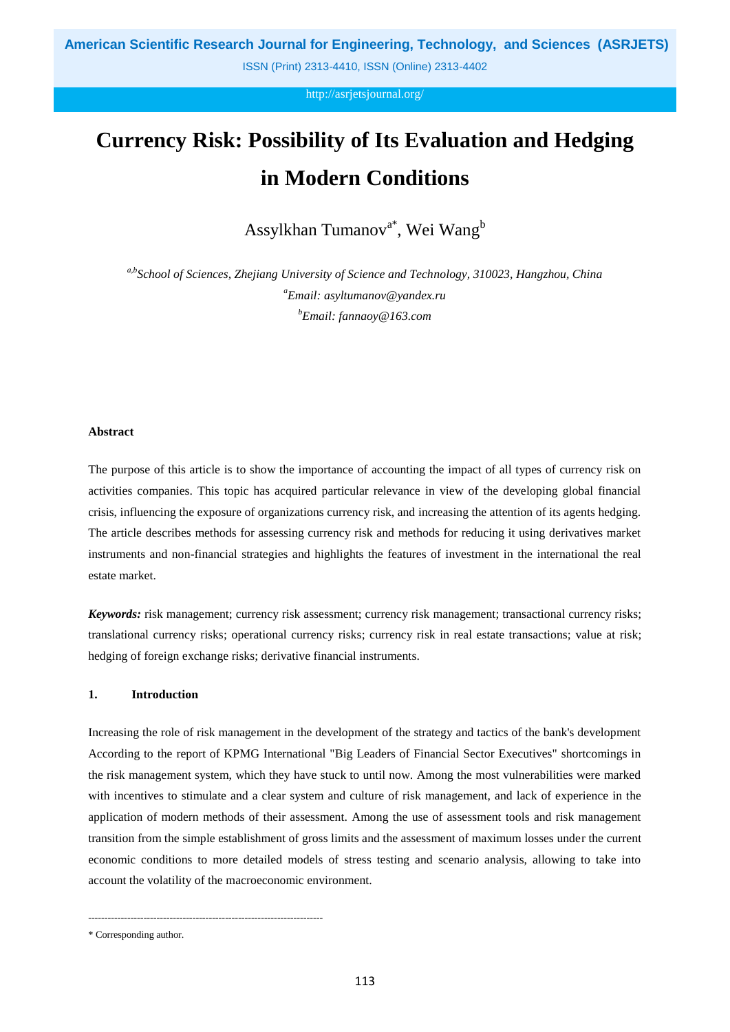http://asrjetsjournal.org/

# **Currency Risk: Possibility of Its Evaluation and Hedging in Modern Conditions**

Assylkhan Tumanov<sup>a\*</sup>, Wei Wang<sup>b</sup>

*a,bSchool of Sciences, Zhejiang University of Science and Technology, 310023, Hangzhou, China <sup>a</sup>Email: asyltumanov@yandex.ru <sup>b</sup>Email: fannaoy@163.com*

# **Abstract**

The purpose of this article is to show the importance of accounting the impact of all types of currency risk on activities companies. This topic has acquired particular relevance in view of the developing global financial crisis, influencing the exposure of organizations currency risk, and increasing the attention of its agents hedging. The article describes methods for assessing currency risk and methods for reducing it using derivatives market instruments and non-financial strategies and highlights the features of investment in the international the real estate market.

*Keywords:* risk management; currency risk assessment; currency risk management; transactional currency risks; translational currency risks; operational currency risks; currency risk in real estate transactions; value at risk; hedging of foreign exchange risks; derivative financial instruments.

# **1. Introduction**

Increasing the role of risk management in the development of the strategy and tactics of the bank's development According to the report of KPMG International "Big Leaders of Financial Sector Executives" shortcomings in the risk management system, which they have stuck to until now. Among the most vulnerabilities were marked with incentives to stimulate and a clear system and culture of risk management, and lack of experience in the application of modern methods of their assessment. Among the use of assessment tools and risk management transition from the simple establishment of gross limits and the assessment of maximum losses under the current economic conditions to more detailed models of stress testing and scenario analysis, allowing to take into account the volatility of the macroeconomic environment.

------------------------------------------------------------------------

<sup>\*</sup> Corresponding author.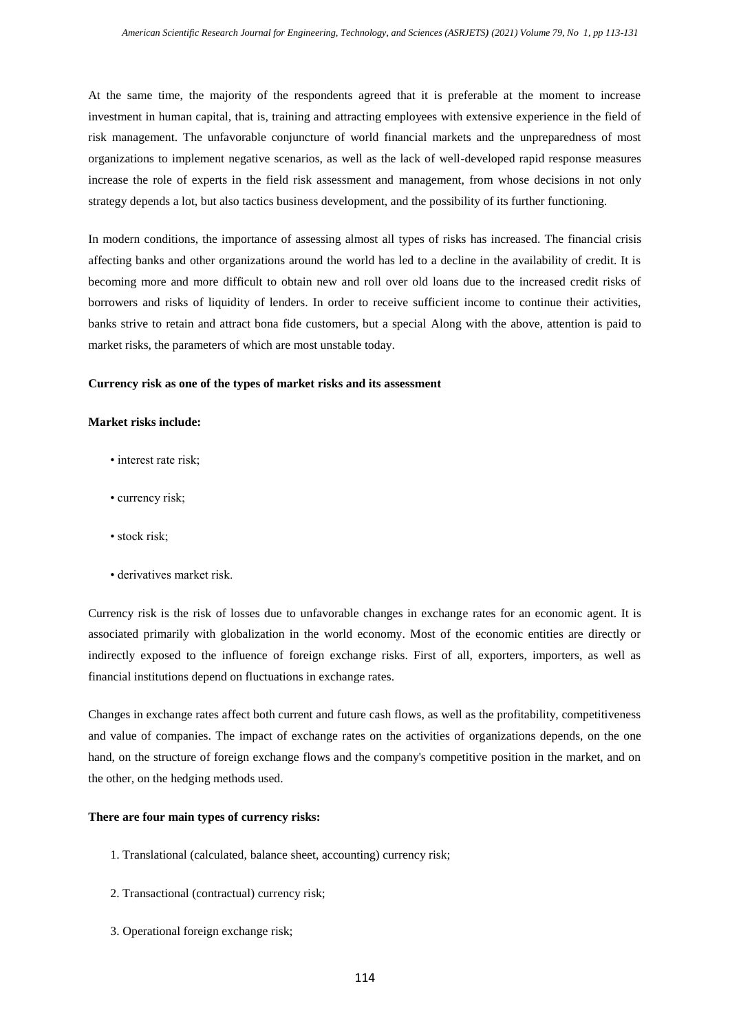At the same time, the majority of the respondents agreed that it is preferable at the moment to increase investment in human capital, that is, training and attracting employees with extensive experience in the field of risk management. The unfavorable conjuncture of world financial markets and the unpreparedness of most organizations to implement negative scenarios, as well as the lack of well-developed rapid response measures increase the role of experts in the field risk assessment and management, from whose decisions in not only strategy depends a lot, but also tactics business development, and the possibility of its further functioning.

In modern conditions, the importance of assessing almost all types of risks has increased. The financial crisis affecting banks and other organizations around the world has led to a decline in the availability of credit. It is becoming more and more difficult to obtain new and roll over old loans due to the increased credit risks of borrowers and risks of liquidity of lenders. In order to receive sufficient income to continue their activities, banks strive to retain and attract bona fide customers, but a special Along with the above, attention is paid to market risks, the parameters of which are most unstable today.

#### **Currency risk as one of the types of market risks and its assessment**

# **Market risks include:**

- interest rate risk;
- currency risk;
- stock risk;
- derivatives market risk.

Currency risk is the risk of losses due to unfavorable changes in exchange rates for an economic agent. It is associated primarily with globalization in the world economy. Most of the economic entities are directly or indirectly exposed to the influence of foreign exchange risks. First of all, exporters, importers, as well as financial institutions depend on fluctuations in exchange rates.

Changes in exchange rates affect both current and future cash flows, as well as the profitability, competitiveness and value of companies. The impact of exchange rates on the activities of organizations depends, on the one hand, on the structure of foreign exchange flows and the company's competitive position in the market, and on the other, on the hedging methods used.

# **There are four main types of currency risks:**

- 1. Translational (calculated, balance sheet, accounting) currency risk;
- 2. Transactional (contractual) currency risk;
- 3. Operational foreign exchange risk;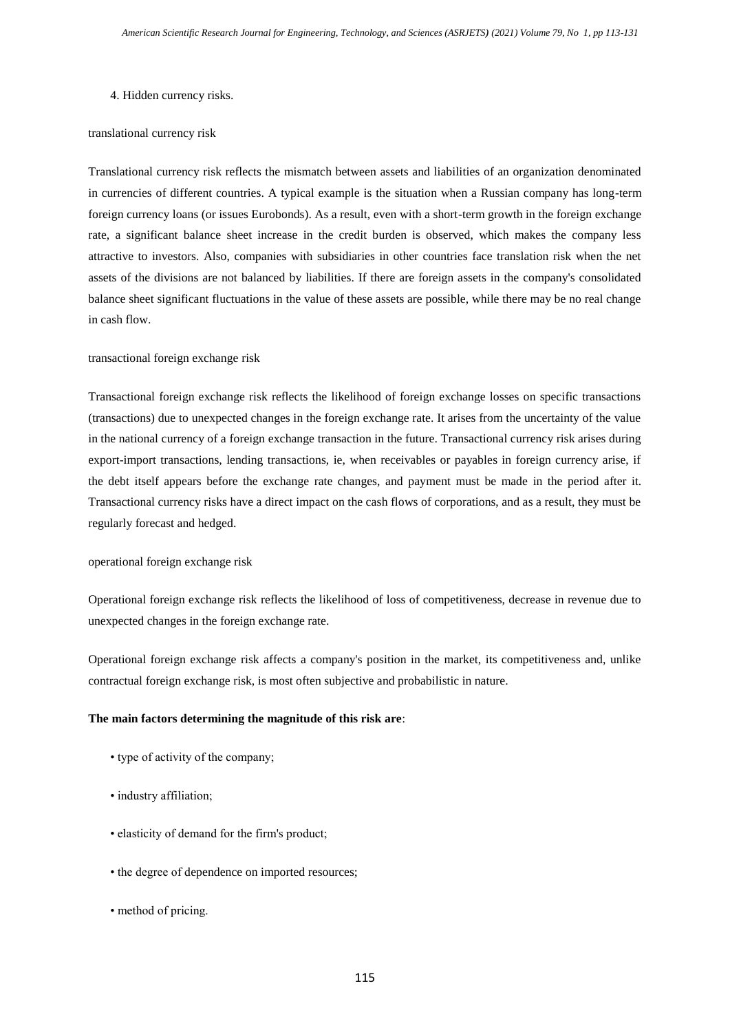# 4. Hidden currency risks.

# translational currency risk

Translational currency risk reflects the mismatch between assets and liabilities of an organization denominated in currencies of different countries. A typical example is the situation when a Russian company has long-term foreign currency loans (or issues Eurobonds). As a result, even with a short-term growth in the foreign exchange rate, a significant balance sheet increase in the credit burden is observed, which makes the company less attractive to investors. Also, companies with subsidiaries in other countries face translation risk when the net assets of the divisions are not balanced by liabilities. If there are foreign assets in the company's consolidated balance sheet significant fluctuations in the value of these assets are possible, while there may be no real change in cash flow.

# transactional foreign exchange risk

Transactional foreign exchange risk reflects the likelihood of foreign exchange losses on specific transactions (transactions) due to unexpected changes in the foreign exchange rate. It arises from the uncertainty of the value in the national currency of a foreign exchange transaction in the future. Transactional currency risk arises during export-import transactions, lending transactions, ie, when receivables or payables in foreign currency arise, if the debt itself appears before the exchange rate changes, and payment must be made in the period after it. Transactional currency risks have a direct impact on the cash flows of corporations, and as a result, they must be regularly forecast and hedged.

# operational foreign exchange risk

Operational foreign exchange risk reflects the likelihood of loss of competitiveness, decrease in revenue due to unexpected changes in the foreign exchange rate.

Operational foreign exchange risk affects a company's position in the market, its competitiveness and, unlike contractual foreign exchange risk, is most often subjective and probabilistic in nature.

# **The main factors determining the magnitude of this risk are**:

- type of activity of the company;
- industry affiliation;
- elasticity of demand for the firm's product;
- the degree of dependence on imported resources;
- method of pricing.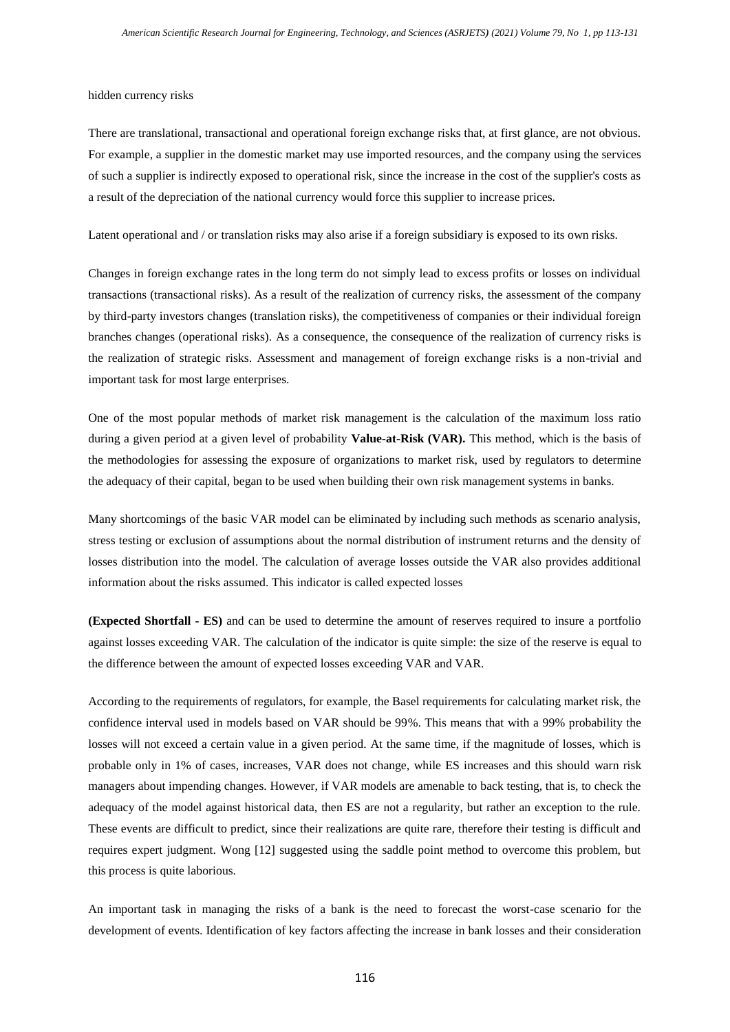#### hidden currency risks

There are translational, transactional and operational foreign exchange risks that, at first glance, are not obvious. For example, a supplier in the domestic market may use imported resources, and the company using the services of such a supplier is indirectly exposed to operational risk, since the increase in the cost of the supplier's costs as a result of the depreciation of the national currency would force this supplier to increase prices.

Latent operational and / or translation risks may also arise if a foreign subsidiary is exposed to its own risks.

Changes in foreign exchange rates in the long term do not simply lead to excess profits or losses on individual transactions (transactional risks). As a result of the realization of currency risks, the assessment of the company by third-party investors changes (translation risks), the competitiveness of companies or their individual foreign branches changes (operational risks). As a consequence, the consequence of the realization of currency risks is the realization of strategic risks. Assessment and management of foreign exchange risks is a non-trivial and important task for most large enterprises.

One of the most popular methods of market risk management is the calculation of the maximum loss ratio during a given period at a given level of probability **Value-at-Risk (VAR).** This method, which is the basis of the methodologies for assessing the exposure of organizations to market risk, used by regulators to determine the adequacy of their capital, began to be used when building their own risk management systems in banks.

Many shortcomings of the basic VAR model can be eliminated by including such methods as scenario analysis, stress testing or exclusion of assumptions about the normal distribution of instrument returns and the density of losses distribution into the model. The calculation of average losses outside the VAR also provides additional information about the risks assumed. This indicator is called expected losses

**(Expected Shortfall - ES)** and can be used to determine the amount of reserves required to insure a portfolio against losses exceeding VAR. The calculation of the indicator is quite simple: the size of the reserve is equal to the difference between the amount of expected losses exceeding VAR and VAR.

According to the requirements of regulators, for example, the Basel requirements for calculating market risk, the confidence interval used in models based on VAR should be 99%. This means that with a 99% probability the losses will not exceed a certain value in a given period. At the same time, if the magnitude of losses, which is probable only in 1% of cases, increases, VAR does not change, while ES increases and this should warn risk managers about impending changes. However, if VAR models are amenable to back testing, that is, to check the adequacy of the model against historical data, then ES are not a regularity, but rather an exception to the rule. These events are difficult to predict, since their realizations are quite rare, therefore their testing is difficult and requires expert judgment. Wong [12] suggested using the saddle point method to overcome this problem, but this process is quite laborious.

An important task in managing the risks of a bank is the need to forecast the worst-case scenario for the development of events. Identification of key factors affecting the increase in bank losses and their consideration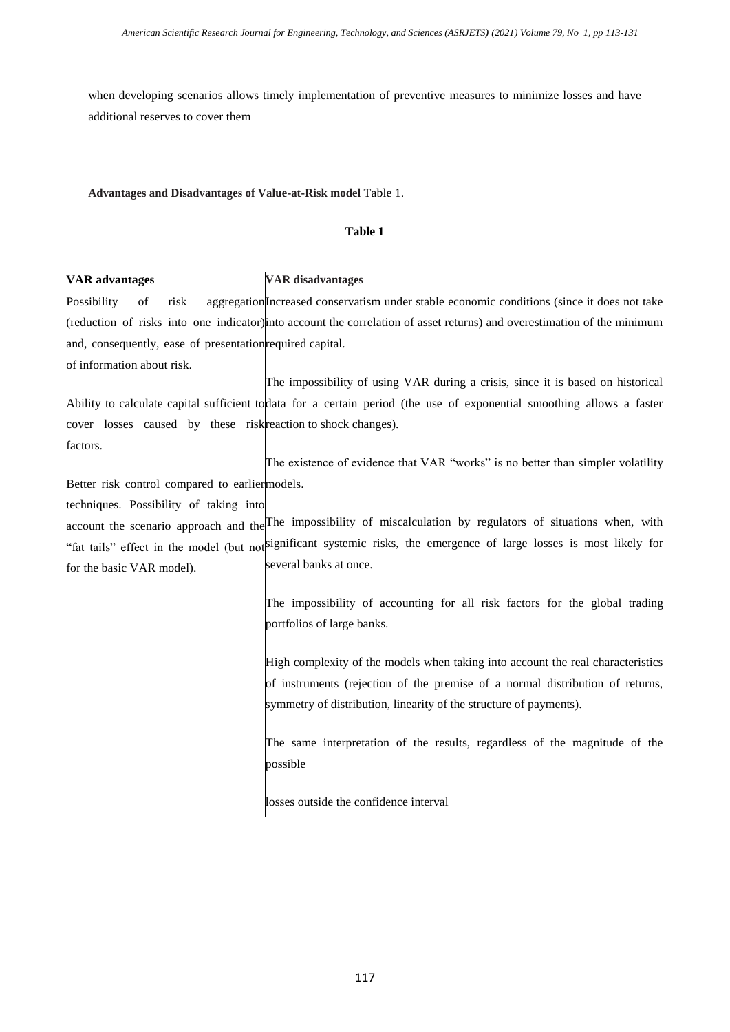when developing scenarios allows timely implementation of preventive measures to minimize losses and have additional reserves to cover them

# **Advantages and Disadvantages of Value-at-Risk model** Table 1.

#### **Table 1**

# **VAR advantages VAR disadvantages** Possibility of risk aggregation *Increased conservatism under stable economic conditions* (since it does not take (reduction of risks into one indicator) into account the correlation of asset returns) and overestimation of the minimum and, consequently, ease of presentation required capital. of information about risk. The impossibility of using VAR during a crisis, since it is based on historical

Ability to calculate capital sufficient to data for a certain period (the use of exponential smoothing allows a faster cover losses caused by these risk reaction to shock changes). factors.

Better risk control compared to earlier models. The existence of evidence that VAR "works" is no better than simpler volatility

techniques. Possibility of taking into

account the scenario approach and the The impossibility of miscalculation by regulators of situations when, with "fat tails" effect in the model (but not significant systemic risks, the emergence of large losses is most likely for for the basic VAR model). several banks at once.

> The impossibility of accounting for all risk factors for the global trading portfolios of large banks.

> High complexity of the models when taking into account the real characteristics of instruments (rejection of the premise of a normal distribution of returns, symmetry of distribution, linearity of the structure of payments).

> The same interpretation of the results, regardless of the magnitude of the possible

losses outside the confidence interval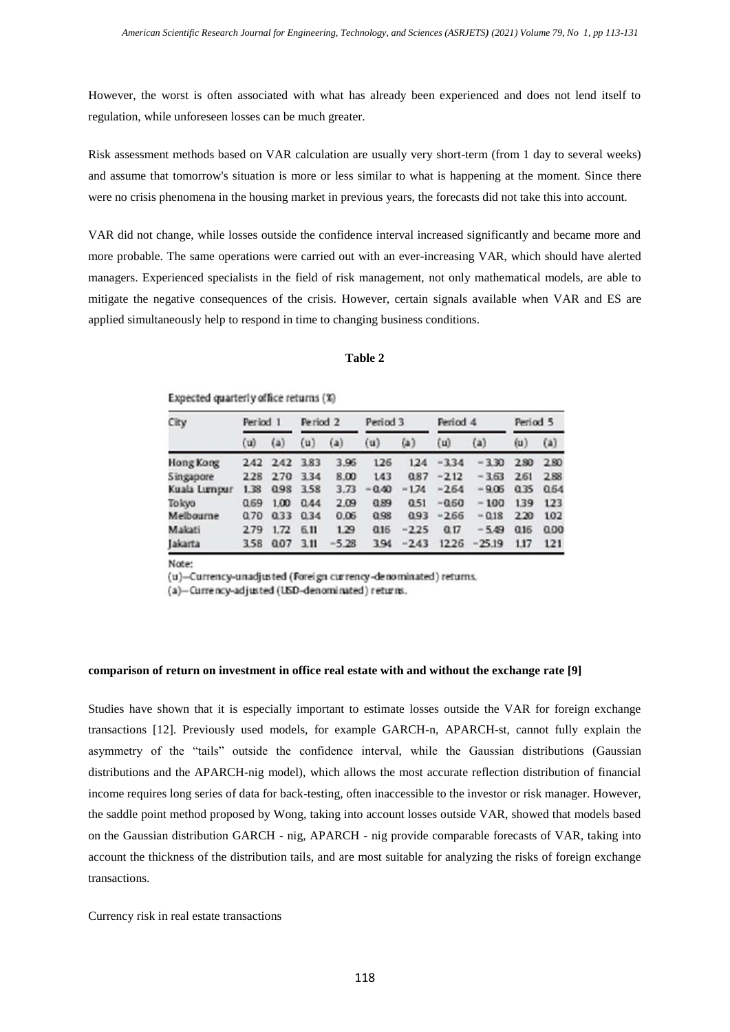However, the worst is often associated with what has already been experienced and does not lend itself to regulation, while unforeseen losses can be much greater.

Risk assessment methods based on VAR calculation are usually very short-term (from 1 day to several weeks) and assume that tomorrow's situation is more or less similar to what is happening at the moment. Since there were no crisis phenomena in the housing market in previous years, the forecasts did not take this into account.

VAR did not change, while losses outside the confidence interval increased significantly and became more and more probable. The same operations were carried out with an ever-increasing VAR, which should have alerted managers. Experienced specialists in the field of risk management, not only mathematical models, are able to mitigate the negative consequences of the crisis. However, certain signals available when VAR and ES are applied simultaneously help to respond in time to changing business conditions.

#### **Table 2**

Expected quarterly office returns (%)

| City         | Period <sub>1</sub> |         | Period <sub>2</sub> |         | Period 3 |         | Period 4 |          | Period 5 |      |
|--------------|---------------------|---------|---------------------|---------|----------|---------|----------|----------|----------|------|
|              | (u)                 | (a)     | (u)                 | (a)     | (u)      | (a)     | (u)      | (a)      | (u)      | (a)  |
| Hong Kong    |                     | 242 242 | 3.83                | 3.96    | 126      | 124     | $-3.34$  | $-330$   | 2.80     | 2.80 |
| Singapore    | 228                 | 2.70    | 334                 | 8.00    | 143      | 0.87    | $-212$   | $-3.63$  | 2.61     | 2.88 |
| Kuala Lumpur | 1.38                | 0.98    | 3.58                | 3.73    | 0.40     | $-1.74$ | $-2.64$  | $-9.06$  | 0.35     | 0.64 |
| Tokyo        | 0.69                | 1.00    | 0.44                | 2.09    | 0.89     | 0.51    | $-0.60$  | $-100$   | 139      | 123  |
| Melbourne    | 0.70                | 0.33    | 034                 | 0.06    | 0.98     | 0.93    | $-2.66$  | $-0.18$  | 2.20     | 102  |
| Makati       | 279                 | 1.72    | 6.11                | 1.29    | 0.16     | $-225$  | 0.17     | $-5.49$  | 0.16     | 0.00 |
| akarta       | 358                 | 0.07    | 3.11                | $-5.28$ | 394      | $-243$  | 1226     | $-25.19$ | 1.17     | 121  |

Note:

(u)-Currency-unadjusted (Foreign currency-denominated) returns.

(a)-Currency-adjusted (USD-denominated) returns.

#### **comparison of return on investment in office real estate with and without the exchange rate [9]**

Studies have shown that it is especially important to estimate losses outside the VAR for foreign exchange transactions [12]. Previously used models, for example GARCH-n, APARCH-st, cannot fully explain the asymmetry of the "tails" outside the confidence interval, while the Gaussian distributions (Gaussian distributions and the APARCH-nig model), which allows the most accurate reflection distribution of financial income requires long series of data for back-testing, often inaccessible to the investor or risk manager. However, the saddle point method proposed by Wong, taking into account losses outside VAR, showed that models based on the Gaussian distribution GARCH - nig, APARCH - nig provide comparable forecasts of VAR, taking into account the thickness of the distribution tails, and are most suitable for analyzing the risks of foreign exchange transactions.

Currency risk in real estate transactions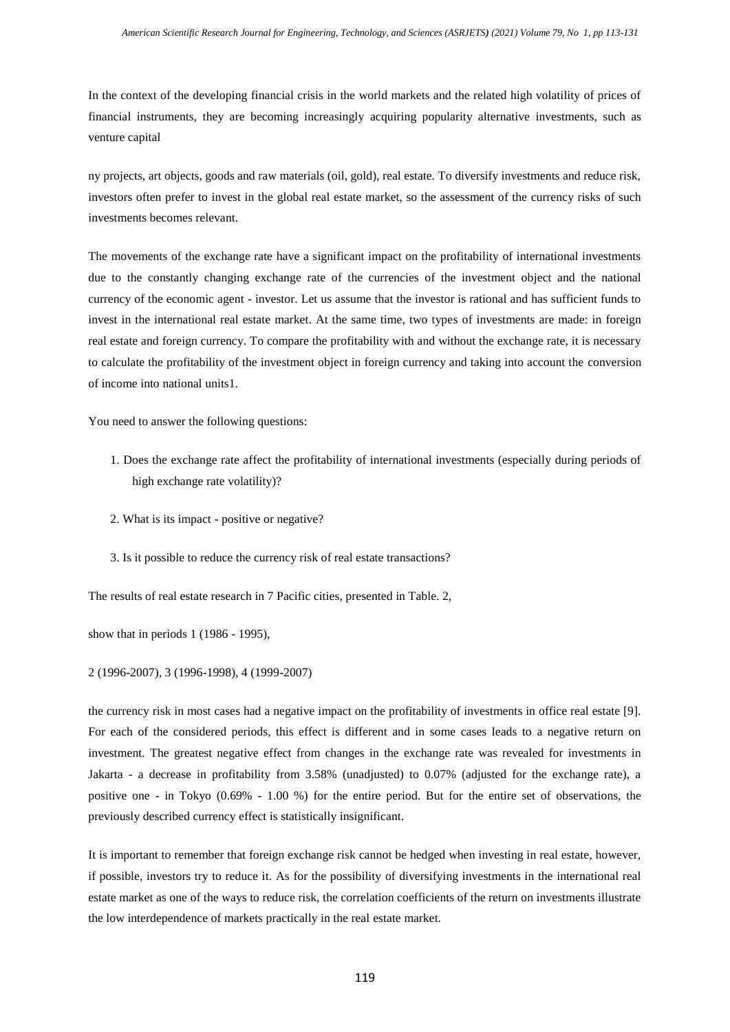In the context of the developing financial crisis in the world markets and the related high volatility of prices of financial instruments, they are becoming increasingly acquiring popularity alternative investments, such as venture capital

ny projects, art objects, goods and raw materials (oil, gold), real estate. To diversify investments and reduce risk, investors often prefer to invest in the global real estate market, so the assessment of the currency risks of such investments becomes relevant.

The movements of the exchange rate have a significant impact on the profitability of international investments due to the constantly changing exchange rate of the currencies of the investment object and the national currency of the economic agent - investor. Let us assume that the investor is rational and has sufficient funds to invest in the international real estate market. At the same time, two types of investments are made: in foreign real estate and foreign currency. To compare the profitability with and without the exchange rate, it is necessary to calculate the profitability of the investment object in foreign currency and taking into account the conversion of income into national units1.

You need to answer the following questions:

- 1. Does the exchange rate affect the profitability of international investments (especially during periods of high exchange rate volatility)?
- 2. What is its impact positive or negative?
- 3. Is it possible to reduce the currency risk of real estate transactions?

The results of real estate research in 7 Pacific cities, presented in Table. 2,

show that in periods 1 (1986 - 1995),

2 (1996-2007), 3 (1996-1998), 4 (1999-2007)

the currency risk in most cases had a negative impact on the profitability of investments in office real estate [9]. For each of the considered periods, this effect is different and in some cases leads to a negative return on investment. The greatest negative effect from changes in the exchange rate was revealed for investments in Jakarta - a decrease in profitability from 3.58% (unadjusted) to 0.07% (adjusted for the exchange rate), a positive one - in Tokyo (0.69% - 1.00 %) for the entire period. But for the entire set of observations, the previously described currency effect is statistically insignificant.

It is important to remember that foreign exchange risk cannot be hedged when investing in real estate, however, if possible, investors try to reduce it. As for the possibility of diversifying investments in the international real estate market as one of the ways to reduce risk, the correlation coefficients of the return on investments illustrate the low interdependence of markets practically in the real estate market.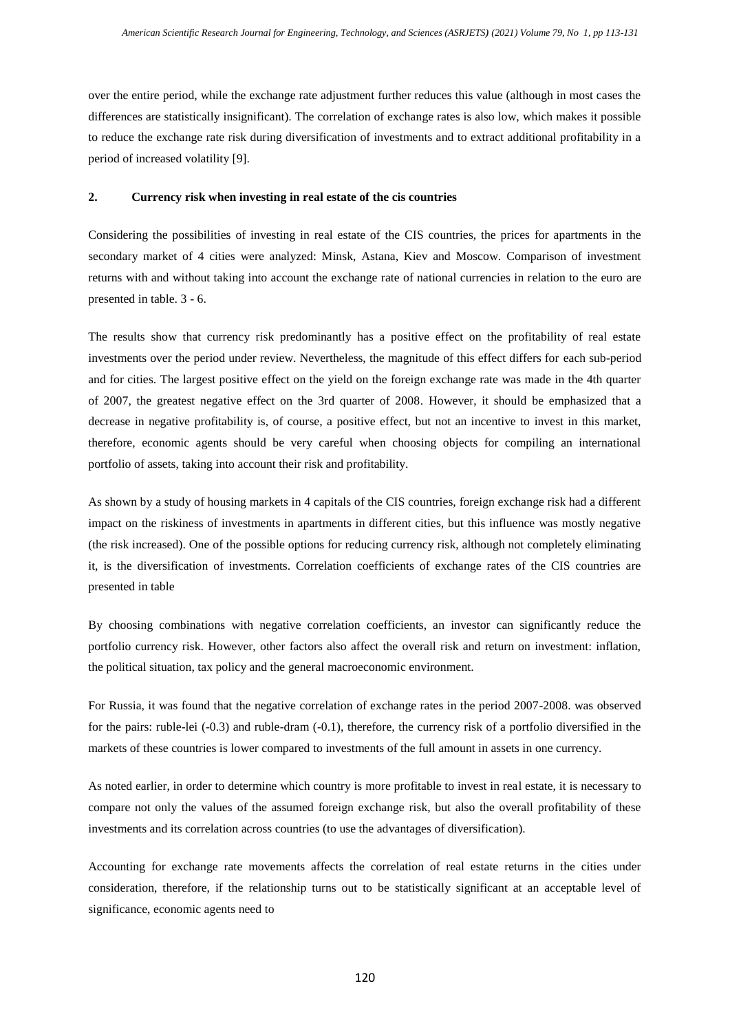over the entire period, while the exchange rate adjustment further reduces this value (although in most cases the differences are statistically insignificant). The correlation of exchange rates is also low, which makes it possible to reduce the exchange rate risk during diversification of investments and to extract additional profitability in a period of increased volatility [9].

# **2. Currency risk when investing in real estate of the cis countries**

Considering the possibilities of investing in real estate of the CIS countries, the prices for apartments in the secondary market of 4 cities were analyzed: Minsk, Astana, Kiev and Moscow. Comparison of investment returns with and without taking into account the exchange rate of national currencies in relation to the euro are presented in table. 3 - 6.

The results show that currency risk predominantly has a positive effect on the profitability of real estate investments over the period under review. Nevertheless, the magnitude of this effect differs for each sub-period and for cities. The largest positive effect on the yield on the foreign exchange rate was made in the 4th quarter of 2007, the greatest negative effect on the 3rd quarter of 2008. However, it should be emphasized that a decrease in negative profitability is, of course, a positive effect, but not an incentive to invest in this market, therefore, economic agents should be very careful when choosing objects for compiling an international portfolio of assets, taking into account their risk and profitability.

As shown by a study of housing markets in 4 capitals of the CIS countries, foreign exchange risk had a different impact on the riskiness of investments in apartments in different cities, but this influence was mostly negative (the risk increased). One of the possible options for reducing currency risk, although not completely eliminating it, is the diversification of investments. Correlation coefficients of exchange rates of the CIS countries are presented in table

By choosing combinations with negative correlation coefficients, an investor can significantly reduce the portfolio currency risk. However, other factors also affect the overall risk and return on investment: inflation, the political situation, tax policy and the general macroeconomic environment.

For Russia, it was found that the negative correlation of exchange rates in the period 2007-2008. was observed for the pairs: ruble-lei (-0.3) and ruble-dram (-0.1), therefore, the currency risk of a portfolio diversified in the markets of these countries is lower compared to investments of the full amount in assets in one currency.

As noted earlier, in order to determine which country is more profitable to invest in real estate, it is necessary to compare not only the values of the assumed foreign exchange risk, but also the overall profitability of these investments and its correlation across countries (to use the advantages of diversification).

Accounting for exchange rate movements affects the correlation of real estate returns in the cities under consideration, therefore, if the relationship turns out to be statistically significant at an acceptable level of significance, economic agents need to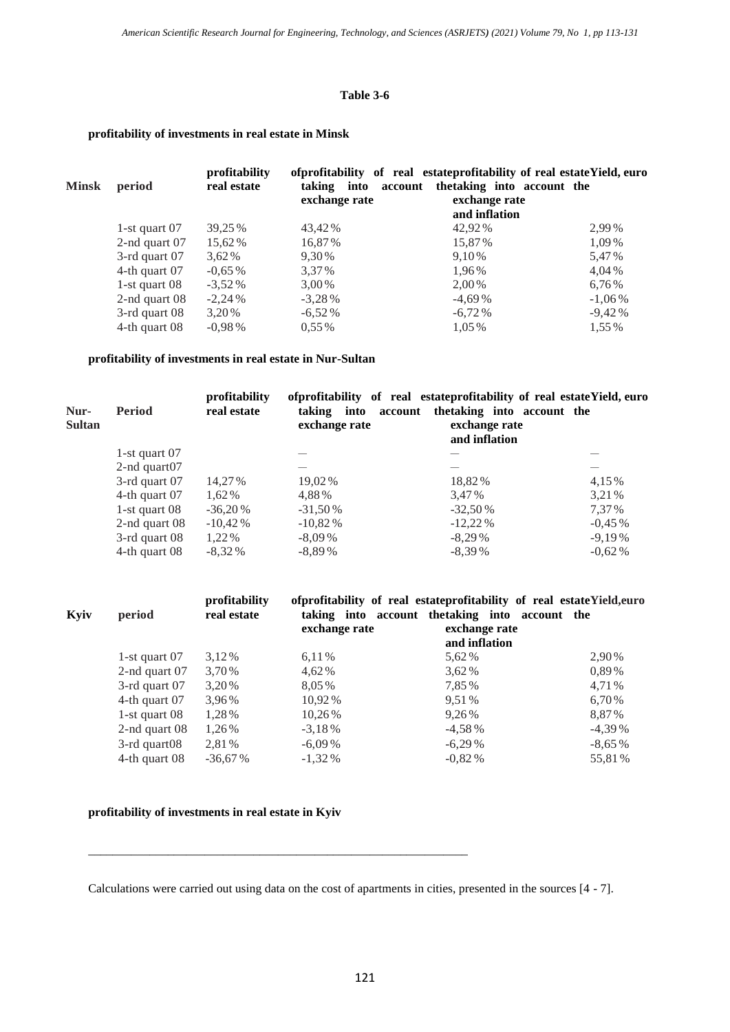# **Table 3-6**

# **profitability of investments in real estate in Minsk**

| <b>Minsk</b> | period           | profitability<br>real estate | taking<br>into<br>account<br>exchange rate | of profitability of real estate profitability of real estate Yield, euro<br>thetaking into account the<br>exchange rate<br>and inflation |           |
|--------------|------------------|------------------------------|--------------------------------------------|------------------------------------------------------------------------------------------------------------------------------------------|-----------|
|              | 1-st quart $07$  | 39,25 %                      | 43,42 %                                    | 42,92 %                                                                                                                                  | 2,99%     |
|              | 2-nd quart $07$  | 15,62 %                      | 16,87%                                     | 15,87%                                                                                                                                   | 1,09%     |
|              | $3$ -rd quart 07 | 3,62 %                       | 9.30%                                      | 9.10 %                                                                                                                                   | 5,47%     |
|              | 4-th quart $07$  | $-0.65\%$                    | 3.37 %                                     | 1.96%                                                                                                                                    | 4,04%     |
|              | 1-st quart $08$  | $-3,52\%$                    | 3,00 %                                     | 2.00 %                                                                                                                                   | 6,76%     |
|              | 2-nd quart $08$  | $-2,24%$                     | $-3,28%$                                   | $-4,69%$                                                                                                                                 | $-1,06\%$ |
|              | $3$ -rd quart 08 | 3.20 %                       | $-6,52%$                                   | $-6,72%$                                                                                                                                 | $-9,42%$  |
|              | 4-th quart 08    | $-0.98\%$                    | $0.55\%$                                   | 1,05 %                                                                                                                                   | 1.55 %    |

# **profitability of investments in real estate in Nur-Sultan**

| Nur-<br><b>Sultan</b> | <b>Period</b>    | profitability<br>real estate | ofprofitability of real estateprofitability of real estateYield, euro<br>exchange rate | taking into account the taking into account the<br>exchange rate<br>and inflation |           |
|-----------------------|------------------|------------------------------|----------------------------------------------------------------------------------------|-----------------------------------------------------------------------------------|-----------|
|                       | 1-st quart $07$  |                              |                                                                                        |                                                                                   |           |
|                       | 2-nd quart $07$  |                              |                                                                                        |                                                                                   |           |
|                       | $3$ -rd quart 07 | 14.27%                       | 19,02%                                                                                 | 18,82%                                                                            | 4,15 %    |
|                       | 4-th quart 07    | 1.62%                        | 4.88%                                                                                  | 3.47 %                                                                            | 3.21 %    |
|                       | 1-st quart $08$  | $-36,20%$                    | $-31,50%$                                                                              | $-32,50%$                                                                         | 7.37 %    |
|                       | 2-nd quart $08$  | $-10,42%$                    | $-10,82%$                                                                              | $-12,22\%$                                                                        | $-0.45\%$ |
|                       | 3-rd quart 08    | 1,22 %                       | $-8,09\%$                                                                              | $-8.29\%$                                                                         | $-9,19%$  |
|                       | 4-th quart 08    | $-8,32%$                     | $-8,89%$                                                                               | $-8,39%$                                                                          | $-0.62\%$ |
|                       |                  |                              |                                                                                        |                                                                                   |           |

| Kyiv | period             | profitability<br>real estate | exchange rate | of profitability of real estate profitability of real estate Yield, euro<br>taking into account the taking into account the<br>exchange rate<br>and inflation |           |
|------|--------------------|------------------------------|---------------|---------------------------------------------------------------------------------------------------------------------------------------------------------------|-----------|
|      | 1-st quart $07$    | 3,12%                        | 6,11%         | 5,62 %                                                                                                                                                        | 2,90%     |
|      | 2-nd quart $07$    | 3,70 %                       | 4.62%         | $3,62\%$                                                                                                                                                      | 0,89%     |
|      | $3$ -rd quart 07   | 3,20 %                       | 8,05%         | 7,85%                                                                                                                                                         | 4,71%     |
|      | 4-th quart 07      | 3,96%                        | 10,92 %       | 9.51 %                                                                                                                                                        | 6,70%     |
|      | 1-st quart $08$    | 1,28%                        | 10,26 %       | 9,26%                                                                                                                                                         | 8.87%     |
|      | 2-nd quart $08$    | 1,26%                        | $-3.18\%$     | $-4,58%$                                                                                                                                                      | $-4,39\%$ |
|      | $3$ -rd quart $08$ | 2,81%                        | $-6.09\%$     | $-6.29\%$                                                                                                                                                     | $-8,65%$  |
|      | 4-th quart 08      | $-36,67%$                    | $-1,32\%$     | $-0.82\%$                                                                                                                                                     | 55,81%    |

# **profitability of investments in real estate in Kyiv**

\_\_\_\_\_\_\_\_\_\_\_\_\_\_\_\_\_\_\_\_\_\_\_\_\_\_\_\_\_\_\_\_\_\_\_\_\_\_\_\_\_\_\_\_\_\_\_\_\_\_\_\_\_\_\_\_\_\_\_\_\_\_

Calculations were carried out using data on the cost of apartments in cities, presented in the sources [4 - 7].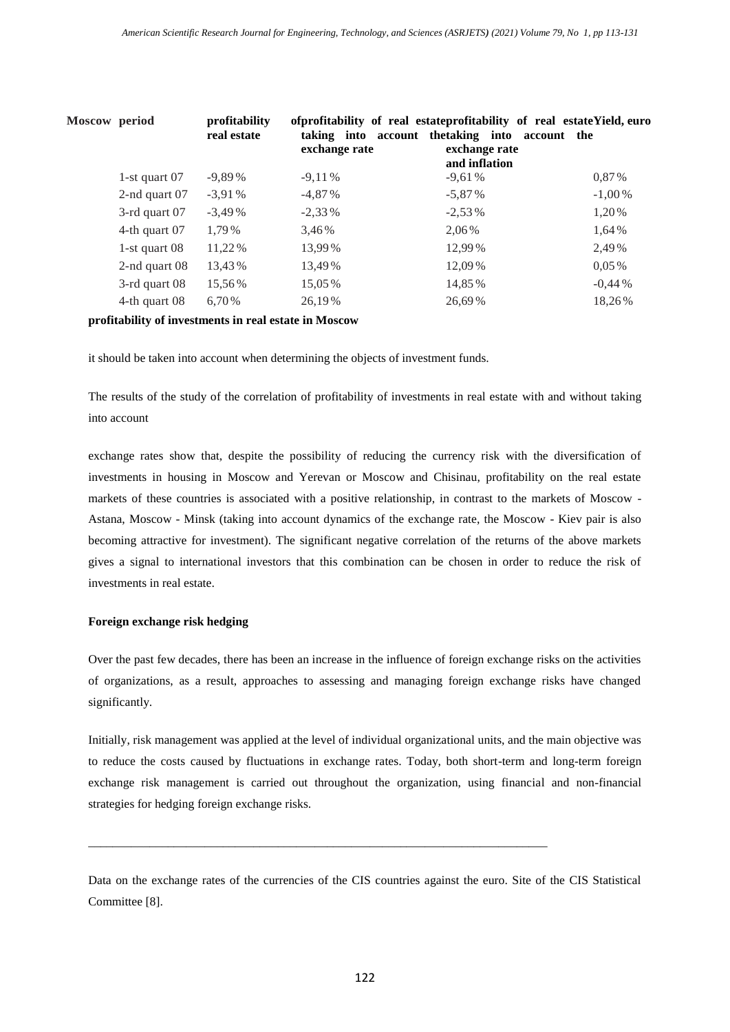| Moscow period |                  | profitability<br>real estate | exchange rate | ofprofitability of real estateprofitability of real estateYield, euro<br>taking into account thetaking into account the<br>exchange rate<br>and inflation |           |
|---------------|------------------|------------------------------|---------------|-----------------------------------------------------------------------------------------------------------------------------------------------------------|-----------|
|               | 1-st quart $07$  | $-9,89%$                     | $-9,11%$      | $-9,61%$                                                                                                                                                  | $0.87\%$  |
|               | 2-nd quart $07$  | $-3,91%$                     | $-4.87%$      | $-5,87%$                                                                                                                                                  | $-1,00\%$ |
|               | $3$ -rd quart 07 | $-3,49%$                     | $-2,33\%$     | $-2,53\%$                                                                                                                                                 | 1,20%     |
|               | 4-th quart 07    | 1,79%                        | 3,46%         | 2,06%                                                                                                                                                     | 1,64%     |
|               | 1-st quart $08$  | 11,22 %                      | 13,99%        | 12.99%                                                                                                                                                    | 2,49%     |
|               | 2-nd quart $08$  | 13,43%                       | 13,49 %       | 12,09%                                                                                                                                                    | $0.05\%$  |
|               | $3$ -rd quart 08 | 15,56%                       | 15,05 %       | 14,85%                                                                                                                                                    | $-0.44%$  |
|               | 4-th quart 08    | 6,70%                        | 26,19%        | 26,69%                                                                                                                                                    | 18,26%    |
|               |                  |                              |               |                                                                                                                                                           |           |

**profitability of investments in real estate in Moscow**

it should be taken into account when determining the objects of investment funds.

The results of the study of the correlation of profitability of investments in real estate with and without taking into account

exchange rates show that, despite the possibility of reducing the currency risk with the diversification of investments in housing in Moscow and Yerevan or Moscow and Chisinau, profitability on the real estate markets of these countries is associated with a positive relationship, in contrast to the markets of Moscow - Astana, Moscow - Minsk (taking into account dynamics of the exchange rate, the Moscow - Kiev pair is also becoming attractive for investment). The significant negative correlation of the returns of the above markets gives a signal to international investors that this combination can be chosen in order to reduce the risk of investments in real estate.

# **Foreign exchange risk hedging**

Over the past few decades, there has been an increase in the influence of foreign exchange risks on the activities of organizations, as a result, approaches to assessing and managing foreign exchange risks have changed significantly.

Initially, risk management was applied at the level of individual organizational units, and the main objective was to reduce the costs caused by fluctuations in exchange rates. Today, both short-term and long-term foreign exchange risk management is carried out throughout the organization, using financial and non-financial strategies for hedging foreign exchange risks.

Data on the exchange rates of the currencies of the CIS countries against the euro. Site of the CIS Statistical Committee [8].

\_\_\_\_\_\_\_\_\_\_\_\_\_\_\_\_\_\_\_\_\_\_\_\_\_\_\_\_\_\_\_\_\_\_\_\_\_\_\_\_\_\_\_\_\_\_\_\_\_\_\_\_\_\_\_\_\_\_\_\_\_\_\_\_\_\_\_\_\_\_\_\_\_\_\_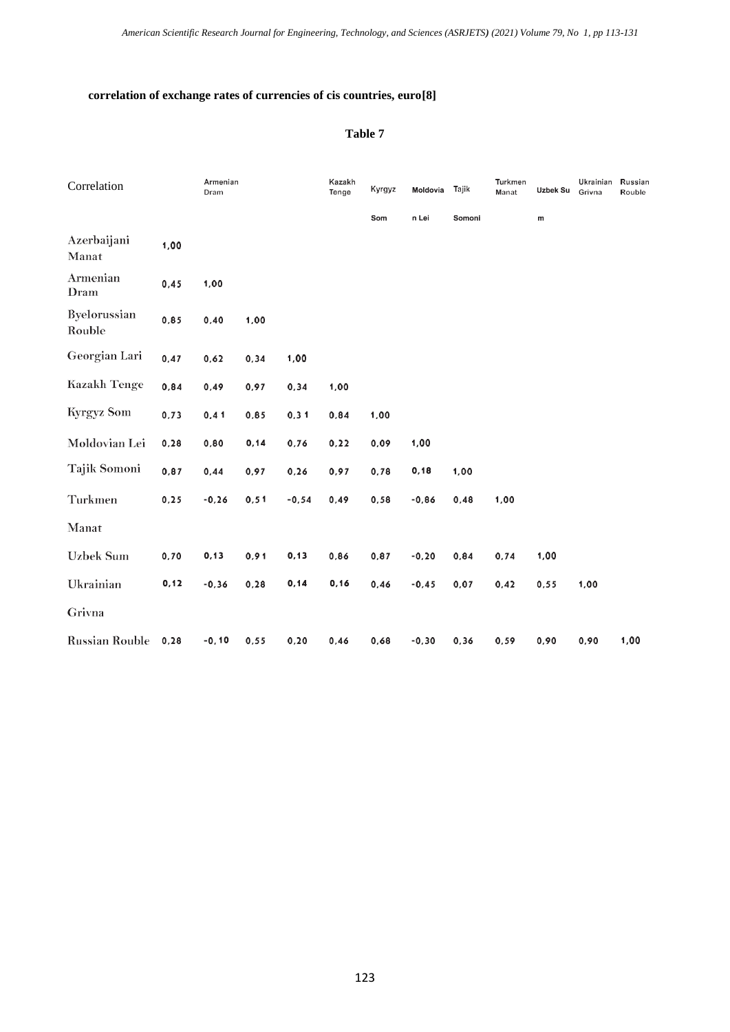# **correlation of exchange rates of currencies of cis countries, euro[8]**

# **Table 7**

| Correlation            |       | Armenian<br>Dram |       |         | Kazakh<br>Tenge | Kyrgyz | Moldovia | Tajik  | Turkmen<br>Manat | Uzbek Su | Ukrainian<br>Grivna | Russian<br>Rouble |
|------------------------|-------|------------------|-------|---------|-----------------|--------|----------|--------|------------------|----------|---------------------|-------------------|
|                        |       |                  |       |         |                 | Som    | n Lei    | Somoni |                  | m        |                     |                   |
| Azerbaijani<br>Manat   | 1,00  |                  |       |         |                 |        |          |        |                  |          |                     |                   |
| Armenian<br>Dram       | 0,45  | 1,00             |       |         |                 |        |          |        |                  |          |                     |                   |
| Byelorussian<br>Rouble | 0,85  | 0,40             | 1,00  |         |                 |        |          |        |                  |          |                     |                   |
| Georgian Lari          | 0,47  | 0,62             | 0, 34 | 1,00    |                 |        |          |        |                  |          |                     |                   |
| <b>Kazakh Tenge</b>    | 0,84  | 0,49             | 0,97  | 0, 34   | 1,00            |        |          |        |                  |          |                     |                   |
| <b>Kyrgyz Som</b>      | 0,73  | 0,41             | 0,85  | 0, 31   | 0,84            | 1,00   |          |        |                  |          |                     |                   |
| Moldovian Lei          | 0, 28 | 0,80             | 0, 14 | 0,76    | 0,22            | 0,09   | 1,00     |        |                  |          |                     |                   |
| Tajik Somoni           | 0,87  | 0,44             | 0,97  | 0, 26   | 0,97            | 0,78   | 0, 18    | 1,00   |                  |          |                     |                   |
| Turkmen                | 0, 25 | $-0,26$          | 0, 51 | $-0,54$ | 0,49            | 0,58   | $-0,86$  | 0,48   | 1,00             |          |                     |                   |
| Manat                  |       |                  |       |         |                 |        |          |        |                  |          |                     |                   |
| <b>Uzbek Sum</b>       | 0,70  | 0, 13            | 0,91  | 0, 13   | 0,86            | 0,87   | $-0, 20$ | 0,84   | 0,74             | 1,00     |                     |                   |
| Ukrainian              | 0, 12 | $-0,36$          | 0, 28 | 0, 14   | 0, 16           | 0,46   | $-0,45$  | 0,07   | 0,42             | 0,55     | 1,00                |                   |
| Grivna                 |       |                  |       |         |                 |        |          |        |                  |          |                     |                   |
| <b>Russian Rouble</b>  | 0, 28 | $-0, 10$         | 0,55  | 0, 20   | 0,46            | 0,68   | $-0,30$  | 0, 36  | 0,59             | 0,90     | 0,90                | 1,00              |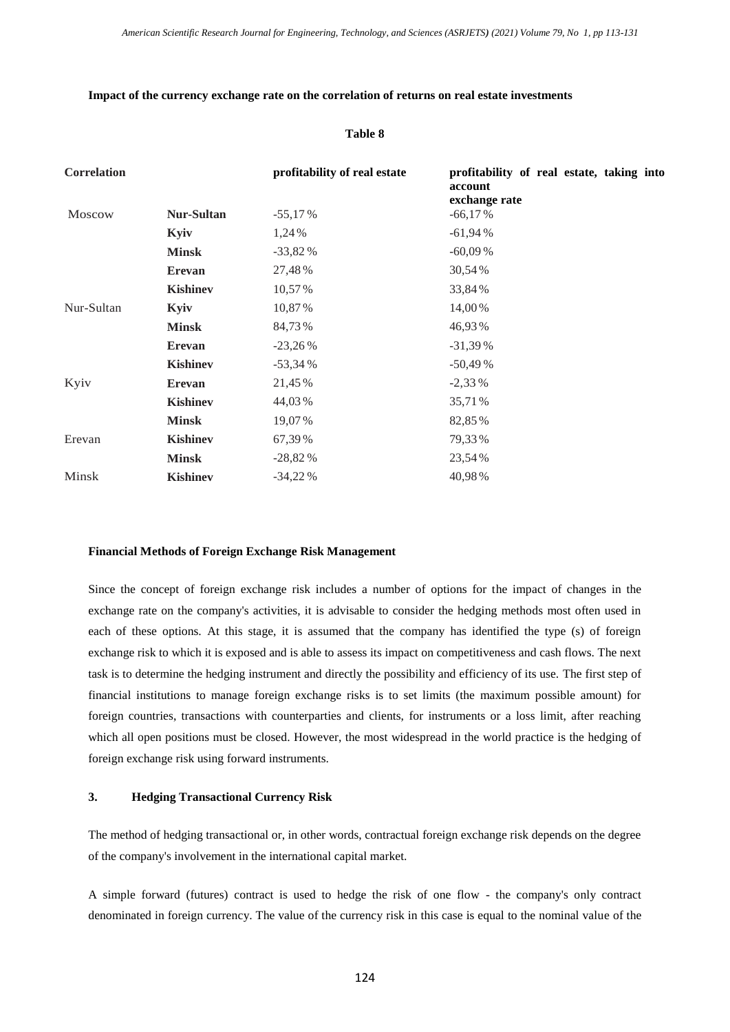#### **Impact of the currency exchange rate on the correlation of returns on real estate investments**

#### **Table 8**

| <b>Correlation</b> |                 | profitability of real estate | profitability of real estate, taking into<br>account<br>exchange rate |
|--------------------|-----------------|------------------------------|-----------------------------------------------------------------------|
| Moscow             | Nur-Sultan      | $-55,17%$                    | $-66,17%$                                                             |
|                    | Kyiv            | 1,24 %                       | $-61,94%$                                                             |
|                    | <b>Minsk</b>    | $-33,82%$                    | $-60,09%$                                                             |
|                    | <b>Erevan</b>   | 27,48%                       | 30,54%                                                                |
|                    | <b>Kishinev</b> | 10,57%                       | 33,84%                                                                |
| Nur-Sultan         | Kyiv            | 10,87%                       | 14,00%                                                                |
|                    | <b>Minsk</b>    | 84,73%                       | 46,93%                                                                |
|                    | <b>Erevan</b>   | $-23,26%$                    | $-31,39%$                                                             |
|                    | <b>Kishinev</b> | $-53,34%$                    | $-50,49%$                                                             |
| Kyiv               | <b>Erevan</b>   | 21,45%                       | $-2,33%$                                                              |
|                    | <b>Kishinev</b> | 44,03%                       | 35,71%                                                                |
|                    | <b>Minsk</b>    | 19,07%                       | 82,85%                                                                |
| Erevan             | <b>Kishinev</b> | 67,39%                       | 79,33%                                                                |
|                    | <b>Minsk</b>    | $-28,82%$                    | 23,54%                                                                |
| <b>Minsk</b>       | <b>Kishinev</b> | $-34,22%$                    | 40,98%                                                                |

#### **Financial Methods of Foreign Exchange Risk Management**

Since the concept of foreign exchange risk includes a number of options for the impact of changes in the exchange rate on the company's activities, it is advisable to consider the hedging methods most often used in each of these options. At this stage, it is assumed that the company has identified the type (s) of foreign exchange risk to which it is exposed and is able to assess its impact on competitiveness and cash flows. The next task is to determine the hedging instrument and directly the possibility and efficiency of its use. The first step of financial institutions to manage foreign exchange risks is to set limits (the maximum possible amount) for foreign countries, transactions with counterparties and clients, for instruments or a loss limit, after reaching which all open positions must be closed. However, the most widespread in the world practice is the hedging of foreign exchange risk using forward instruments.

# **3. Hedging Transactional Currency Risk**

The method of hedging transactional or, in other words, contractual foreign exchange risk depends on the degree of the company's involvement in the international capital market.

A simple forward (futures) contract is used to hedge the risk of one flow - the company's only contract denominated in foreign currency. The value of the currency risk in this case is equal to the nominal value of the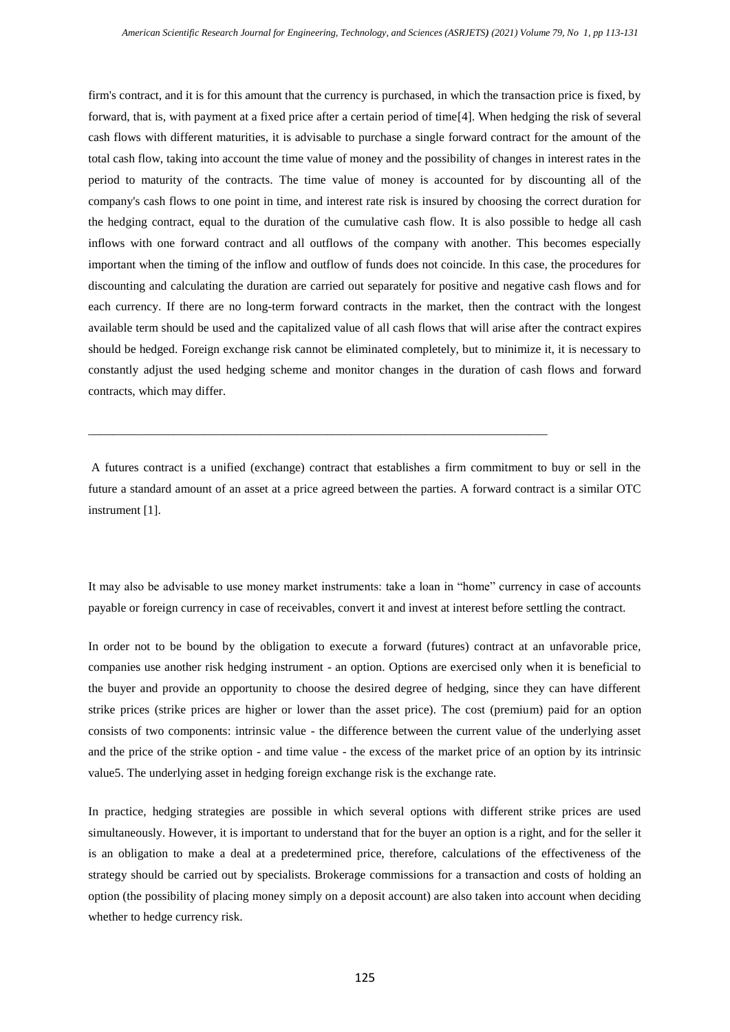firm's contract, and it is for this amount that the currency is purchased, in which the transaction price is fixed, by forward, that is, with payment at a fixed price after a certain period of time[4]. When hedging the risk of several cash flows with different maturities, it is advisable to purchase a single forward contract for the amount of the total cash flow, taking into account the time value of money and the possibility of changes in interest rates in the period to maturity of the contracts. The time value of money is accounted for by discounting all of the company's cash flows to one point in time, and interest rate risk is insured by choosing the correct duration for the hedging contract, equal to the duration of the cumulative cash flow. It is also possible to hedge all cash inflows with one forward contract and all outflows of the company with another. This becomes especially important when the timing of the inflow and outflow of funds does not coincide. In this case, the procedures for discounting and calculating the duration are carried out separately for positive and negative cash flows and for each currency. If there are no long-term forward contracts in the market, then the contract with the longest available term should be used and the capitalized value of all cash flows that will arise after the contract expires should be hedged. Foreign exchange risk cannot be eliminated completely, but to minimize it, it is necessary to constantly adjust the used hedging scheme and monitor changes in the duration of cash flows and forward contracts, which may differ.

A futures contract is a unified (exchange) contract that establishes a firm commitment to buy or sell in the future a standard amount of an asset at a price agreed between the parties. A forward contract is a similar OTC instrument [1].

\_\_\_\_\_\_\_\_\_\_\_\_\_\_\_\_\_\_\_\_\_\_\_\_\_\_\_\_\_\_\_\_\_\_\_\_\_\_\_\_\_\_\_\_\_\_\_\_\_\_\_\_\_\_\_\_\_\_\_\_\_\_\_\_\_\_\_\_\_\_\_\_\_\_\_

It may also be advisable to use money market instruments: take a loan in "home" currency in case of accounts payable or foreign currency in case of receivables, convert it and invest at interest before settling the contract.

In order not to be bound by the obligation to execute a forward (futures) contract at an unfavorable price, companies use another risk hedging instrument - an option. Options are exercised only when it is beneficial to the buyer and provide an opportunity to choose the desired degree of hedging, since they can have different strike prices (strike prices are higher or lower than the asset price). The cost (premium) paid for an option consists of two components: intrinsic value - the difference between the current value of the underlying asset and the price of the strike option - and time value - the excess of the market price of an option by its intrinsic value5. The underlying asset in hedging foreign exchange risk is the exchange rate.

In practice, hedging strategies are possible in which several options with different strike prices are used simultaneously. However, it is important to understand that for the buyer an option is a right, and for the seller it is an obligation to make a deal at a predetermined price, therefore, calculations of the effectiveness of the strategy should be carried out by specialists. Brokerage commissions for a transaction and costs of holding an option (the possibility of placing money simply on a deposit account) are also taken into account when deciding whether to hedge currency risk.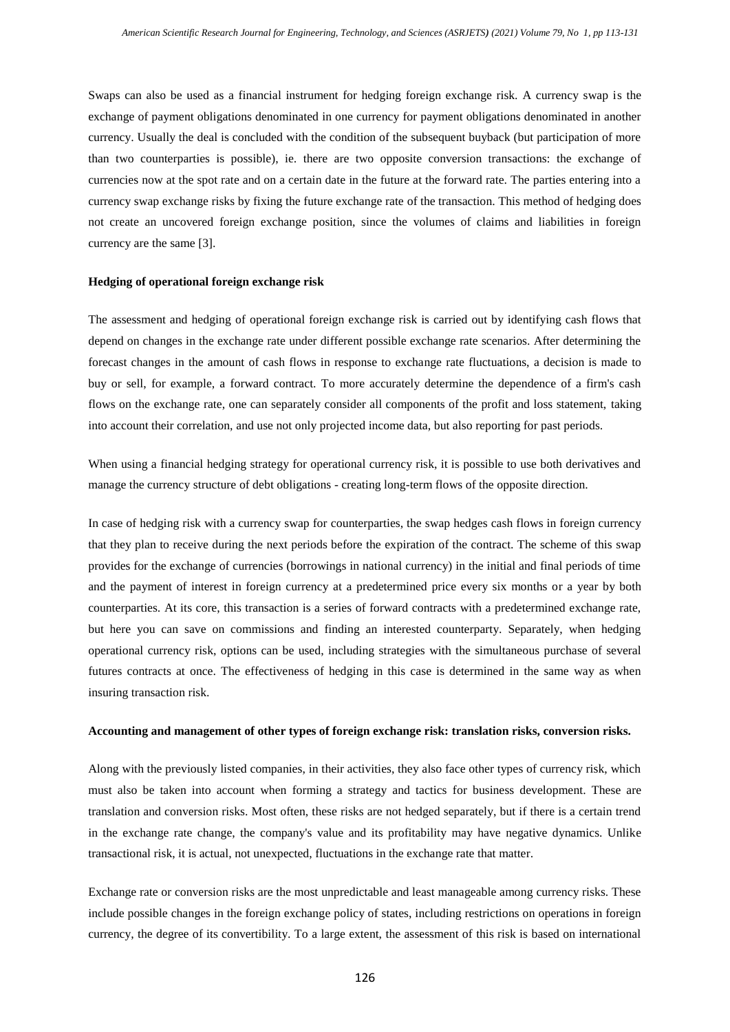Swaps can also be used as a financial instrument for hedging foreign exchange risk. A currency swap is the exchange of payment obligations denominated in one currency for payment obligations denominated in another currency. Usually the deal is concluded with the condition of the subsequent buyback (but participation of more than two counterparties is possible), ie. there are two opposite conversion transactions: the exchange of currencies now at the spot rate and on a certain date in the future at the forward rate. The parties entering into a currency swap exchange risks by fixing the future exchange rate of the transaction. This method of hedging does not create an uncovered foreign exchange position, since the volumes of claims and liabilities in foreign currency are the same [3].

#### **Hedging of operational foreign exchange risk**

The assessment and hedging of operational foreign exchange risk is carried out by identifying cash flows that depend on changes in the exchange rate under different possible exchange rate scenarios. After determining the forecast changes in the amount of cash flows in response to exchange rate fluctuations, a decision is made to buy or sell, for example, a forward contract. To more accurately determine the dependence of a firm's cash flows on the exchange rate, one can separately consider all components of the profit and loss statement, taking into account their correlation, and use not only projected income data, but also reporting for past periods.

When using a financial hedging strategy for operational currency risk, it is possible to use both derivatives and manage the currency structure of debt obligations - creating long-term flows of the opposite direction.

In case of hedging risk with a currency swap for counterparties, the swap hedges cash flows in foreign currency that they plan to receive during the next periods before the expiration of the contract. The scheme of this swap provides for the exchange of currencies (borrowings in national currency) in the initial and final periods of time and the payment of interest in foreign currency at a predetermined price every six months or a year by both counterparties. At its core, this transaction is a series of forward contracts with a predetermined exchange rate, but here you can save on commissions and finding an interested counterparty. Separately, when hedging operational currency risk, options can be used, including strategies with the simultaneous purchase of several futures contracts at once. The effectiveness of hedging in this case is determined in the same way as when insuring transaction risk.

#### **Accounting and management of other types of foreign exchange risk: translation risks, conversion risks.**

Along with the previously listed companies, in their activities, they also face other types of currency risk, which must also be taken into account when forming a strategy and tactics for business development. These are translation and conversion risks. Most often, these risks are not hedged separately, but if there is a certain trend in the exchange rate change, the company's value and its profitability may have negative dynamics. Unlike transactional risk, it is actual, not unexpected, fluctuations in the exchange rate that matter.

Exchange rate or conversion risks are the most unpredictable and least manageable among currency risks. These include possible changes in the foreign exchange policy of states, including restrictions on operations in foreign currency, the degree of its convertibility. To a large extent, the assessment of this risk is based on international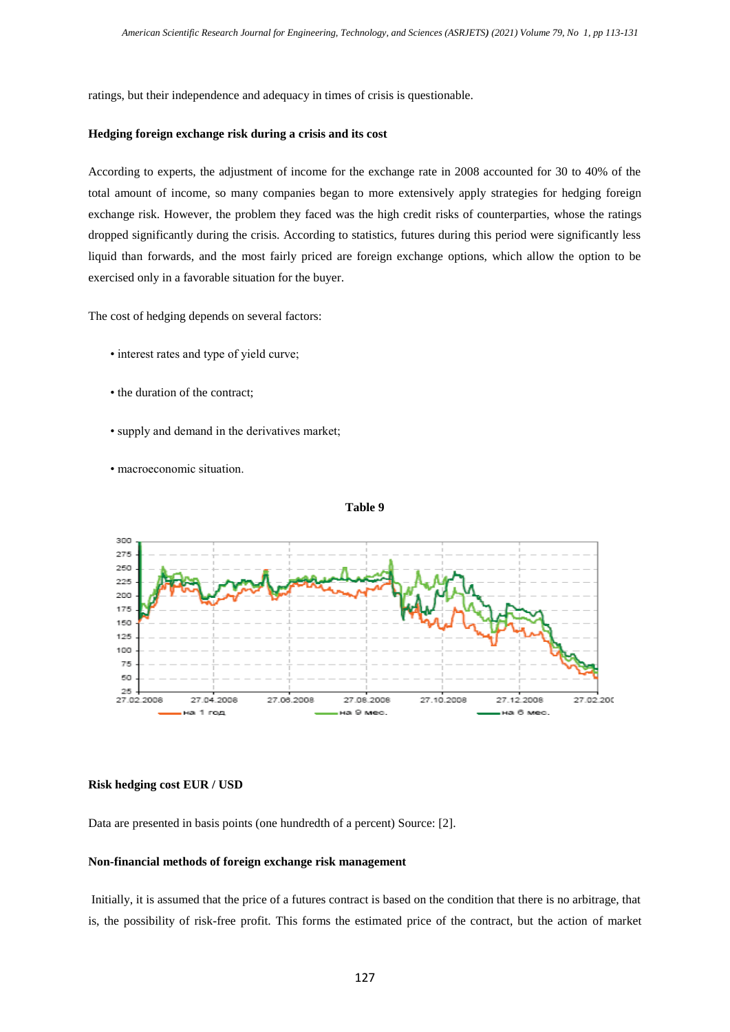ratings, but their independence and adequacy in times of crisis is questionable.

#### **Hedging foreign exchange risk during a crisis and its cost**

According to experts, the adjustment of income for the exchange rate in 2008 accounted for 30 to 40% of the total amount of income, so many companies began to more extensively apply strategies for hedging foreign exchange risk. However, the problem they faced was the high credit risks of counterparties, whose the ratings dropped significantly during the crisis. According to statistics, futures during this period were significantly less liquid than forwards, and the most fairly priced are foreign exchange options, which allow the option to be exercised only in a favorable situation for the buyer.

The cost of hedging depends on several factors:

- interest rates and type of yield curve;
- the duration of the contract;
- supply and demand in the derivatives market;
- macroeconomic situation.





# **Risk hedging cost EUR / USD**

Data are presented in basis points (one hundredth of a percent) Source: [2].

#### **Non-financial methods of foreign exchange risk management**

Initially, it is assumed that the price of a futures contract is based on the condition that there is no arbitrage, that is, the possibility of risk-free profit. This forms the estimated price of the contract, but the action of market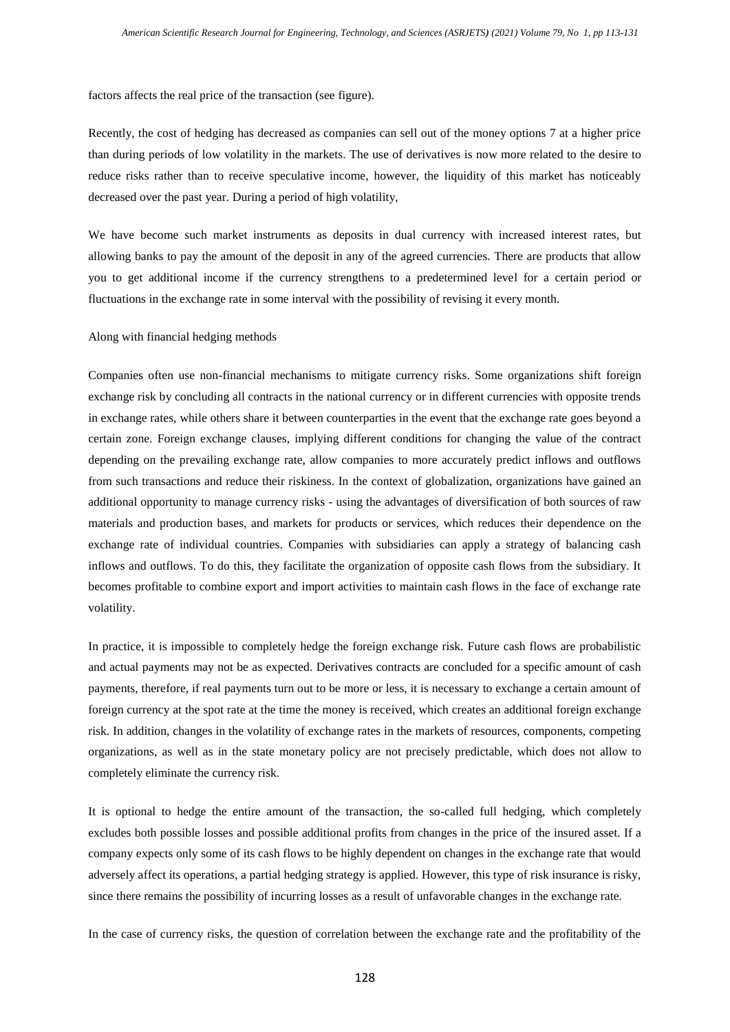factors affects the real price of the transaction (see figure).

Recently, the cost of hedging has decreased as companies can sell out of the money options 7 at a higher price than during periods of low volatility in the markets. The use of derivatives is now more related to the desire to reduce risks rather than to receive speculative income, however, the liquidity of this market has noticeably decreased over the past year. During a period of high volatility,

We have become such market instruments as deposits in dual currency with increased interest rates, but allowing banks to pay the amount of the deposit in any of the agreed currencies. There are products that allow you to get additional income if the currency strengthens to a predetermined level for a certain period or fluctuations in the exchange rate in some interval with the possibility of revising it every month.

Along with financial hedging methods

Companies often use non-financial mechanisms to mitigate currency risks. Some organizations shift foreign exchange risk by concluding all contracts in the national currency or in different currencies with opposite trends in exchange rates, while others share it between counterparties in the event that the exchange rate goes beyond a certain zone. Foreign exchange clauses, implying different conditions for changing the value of the contract depending on the prevailing exchange rate, allow companies to more accurately predict inflows and outflows from such transactions and reduce their riskiness. In the context of globalization, organizations have gained an additional opportunity to manage currency risks - using the advantages of diversification of both sources of raw materials and production bases, and markets for products or services, which reduces their dependence on the exchange rate of individual countries. Companies with subsidiaries can apply a strategy of balancing cash inflows and outflows. To do this, they facilitate the organization of opposite cash flows from the subsidiary. It becomes profitable to combine export and import activities to maintain cash flows in the face of exchange rate volatility.

In practice, it is impossible to completely hedge the foreign exchange risk. Future cash flows are probabilistic and actual payments may not be as expected. Derivatives contracts are concluded for a specific amount of cash payments, therefore, if real payments turn out to be more or less, it is necessary to exchange a certain amount of foreign currency at the spot rate at the time the money is received, which creates an additional foreign exchange risk. In addition, changes in the volatility of exchange rates in the markets of resources, components, competing organizations, as well as in the state monetary policy are not precisely predictable, which does not allow to completely eliminate the currency risk.

It is optional to hedge the entire amount of the transaction, the so-called full hedging, which completely excludes both possible losses and possible additional profits from changes in the price of the insured asset. If a company expects only some of its cash flows to be highly dependent on changes in the exchange rate that would adversely affect its operations, a partial hedging strategy is applied. However, this type of risk insurance is risky, since there remains the possibility of incurring losses as a result of unfavorable changes in the exchange rate.

In the case of currency risks, the question of correlation between the exchange rate and the profitability of the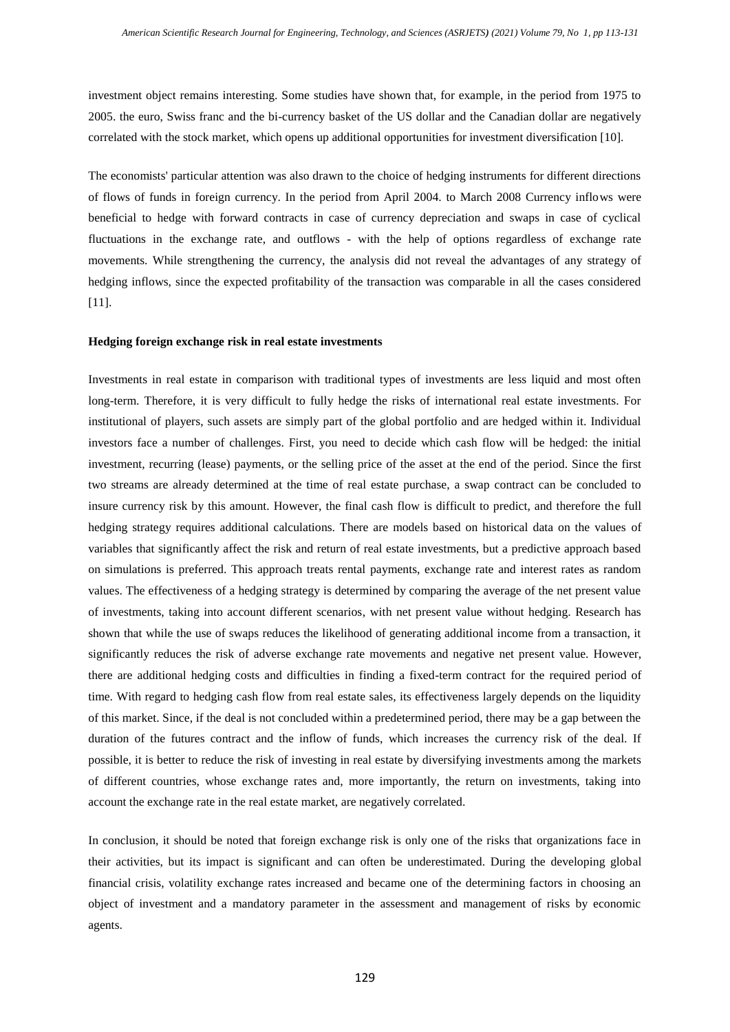investment object remains interesting. Some studies have shown that, for example, in the period from 1975 to 2005. the euro, Swiss franc and the bi-currency basket of the US dollar and the Canadian dollar are negatively correlated with the stock market, which opens up additional opportunities for investment diversification [10].

The economists' particular attention was also drawn to the choice of hedging instruments for different directions of flows of funds in foreign currency. In the period from April 2004. to March 2008 Currency inflows were beneficial to hedge with forward contracts in case of currency depreciation and swaps in case of cyclical fluctuations in the exchange rate, and outflows - with the help of options regardless of exchange rate movements. While strengthening the currency, the analysis did not reveal the advantages of any strategy of hedging inflows, since the expected profitability of the transaction was comparable in all the cases considered [11].

#### **Hedging foreign exchange risk in real estate investments**

Investments in real estate in comparison with traditional types of investments are less liquid and most often long-term. Therefore, it is very difficult to fully hedge the risks of international real estate investments. For institutional of players, such assets are simply part of the global portfolio and are hedged within it. Individual investors face a number of challenges. First, you need to decide which cash flow will be hedged: the initial investment, recurring (lease) payments, or the selling price of the asset at the end of the period. Since the first two streams are already determined at the time of real estate purchase, a swap contract can be concluded to insure currency risk by this amount. However, the final cash flow is difficult to predict, and therefore the full hedging strategy requires additional calculations. There are models based on historical data on the values of variables that significantly affect the risk and return of real estate investments, but a predictive approach based on simulations is preferred. This approach treats rental payments, exchange rate and interest rates as random values. The effectiveness of a hedging strategy is determined by comparing the average of the net present value of investments, taking into account different scenarios, with net present value without hedging. Research has shown that while the use of swaps reduces the likelihood of generating additional income from a transaction, it significantly reduces the risk of adverse exchange rate movements and negative net present value. However, there are additional hedging costs and difficulties in finding a fixed-term contract for the required period of time. With regard to hedging cash flow from real estate sales, its effectiveness largely depends on the liquidity of this market. Since, if the deal is not concluded within a predetermined period, there may be a gap between the duration of the futures contract and the inflow of funds, which increases the currency risk of the deal. If possible, it is better to reduce the risk of investing in real estate by diversifying investments among the markets of different countries, whose exchange rates and, more importantly, the return on investments, taking into account the exchange rate in the real estate market, are negatively correlated.

In conclusion, it should be noted that foreign exchange risk is only one of the risks that organizations face in their activities, but its impact is significant and can often be underestimated. During the developing global financial crisis, volatility exchange rates increased and became one of the determining factors in choosing an object of investment and a mandatory parameter in the assessment and management of risks by economic agents.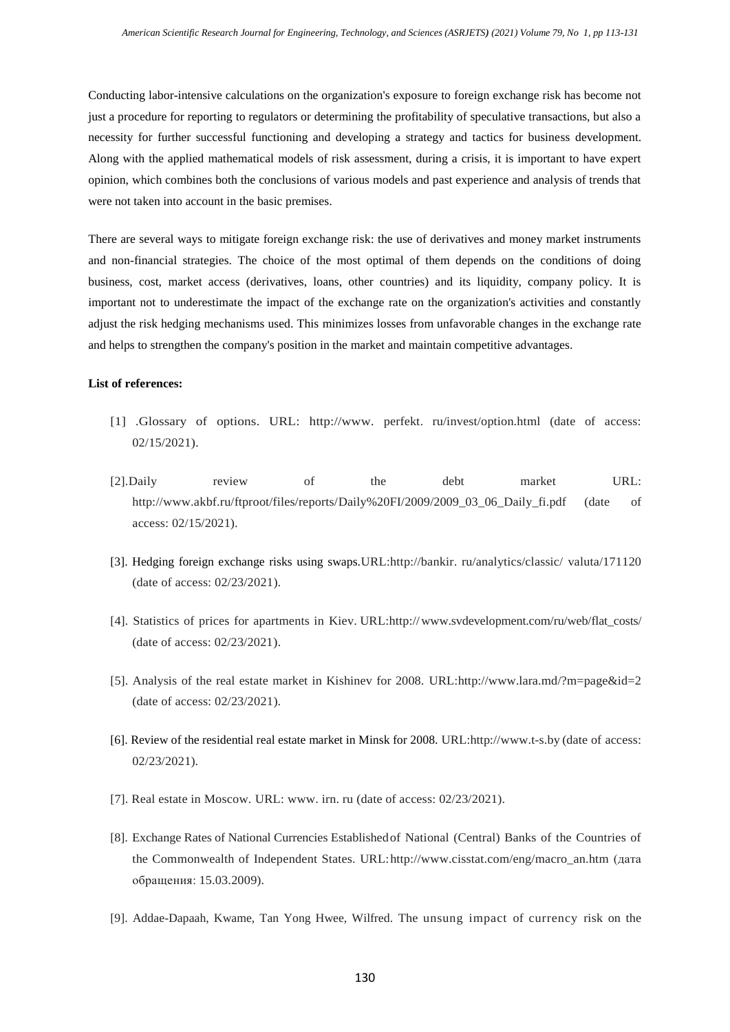Conducting labor-intensive calculations on the organization's exposure to foreign exchange risk has become not just a procedure for reporting to regulators or determining the profitability of speculative transactions, but also a necessity for further successful functioning and developing a strategy and tactics for business development. Along with the applied mathematical models of risk assessment, during a crisis, it is important to have expert opinion, which combines both the conclusions of various models and past experience and analysis of trends that were not taken into account in the basic premises.

There are several ways to mitigate foreign exchange risk: the use of derivatives and money market instruments and non-financial strategies. The choice of the most optimal of them depends on the conditions of doing business, cost, market access (derivatives, loans, other countries) and its liquidity, company policy. It is important not to underestimate the impact of the exchange rate on the organization's activities and constantly adjust the risk hedging mechanisms used. This minimizes losses from unfavorable changes in the exchange rate and helps to strengthen the company's position in the market and maintain competitive advantages.

# **List of references:**

- [1] .Glossary of options. URL: [http://www.](http://www/) perfekt. ru/invest/option.html (date of access: 02/15/2021).
- [2].Daily review of the debt market URL: [http://www.akbf.ru/ftproot/files/reports/D](http://www.akbf.ru/ftproot/files/reports/)aily%20FI/2009/2009\_03\_06\_Daily\_fi.pdf (date of access: 02/15/2021).
- [3]. Hedging foreign exchange risks using swaps[.URL:http://bankir.](http://bankir/) ru/analytics/classic/ valuta/171120 (date of access: 02/23/2021).
- [4]. Statistics of prices for apartments in Kiev. URL:http:/[/www.svdevelopment.com/ru/web/flat\\_costs/](http://www.svdevelopment.com/ru/web/flat_costs/)  (date of access: 02/23/2021).
- [5]. Analysis of the real estate market in Kishinev for 2008. URL[:http://www.lara.md/?m=page&id=2](http://www.lara.md/?m=page&id=2) (date of access: 02/23/2021).
- [6]. Review of the residential real estate market in Minsk for 2008. [URL:http://w](http://www.t-s.by/)w[w.t-s.by](http://www.t-s.by/) (date of access: 02/23/2021).
- [7]. Real estate in Moscow. URL: [www. i](http://www/)rn. ru (date of access: 02/23/2021).
- [8]. Exchange Rates of National Currencies Establishedof National (Central) Banks of the Countries of the Commonwealth of Independent States. URL[:http://www.cisstat.com/eng/macro\\_an.htm \(](http://www.cisstat.com/eng/macro_an.htm)дата обращения: 15.03.2009).
- [9]. Addae-Dapaah, Kwame, Tan Yong Hwee, Wilfred. The unsung impact of currency risk on the